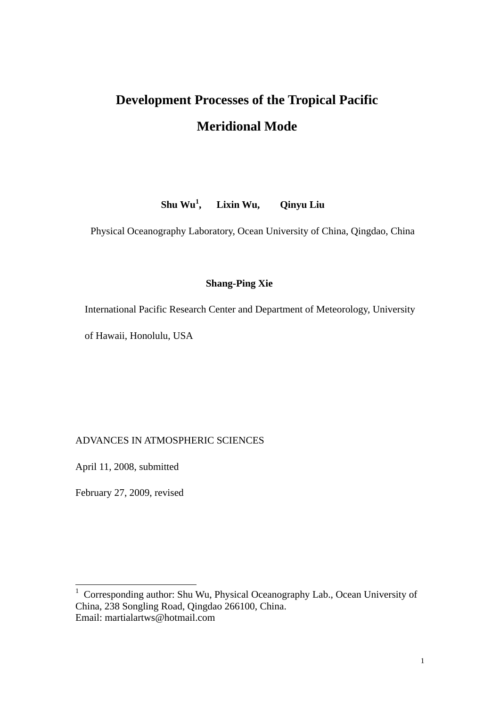# **Development Processes of the Tropical Pacific Meridional Mode**

**Shu Wu<sup>1</sup> , Lixin Wu, Qinyu Liu** 

Physical Oceanography Laboratory, Ocean University of China, Qingdao, China

# **Shang-Ping Xie**

International Pacific Research Center and Department of Meteorology, University

of Hawaii, Honolulu, USA

ADVANCES IN ATMOSPHERIC SCIENCES

April 11, 2008, submitted

February 27, 2009, revised

 1 Corresponding author: Shu Wu, Physical Oceanography Lab., Ocean University of China, 238 Songling Road, Qingdao 266100, China. Email: martialartws@hotmail.com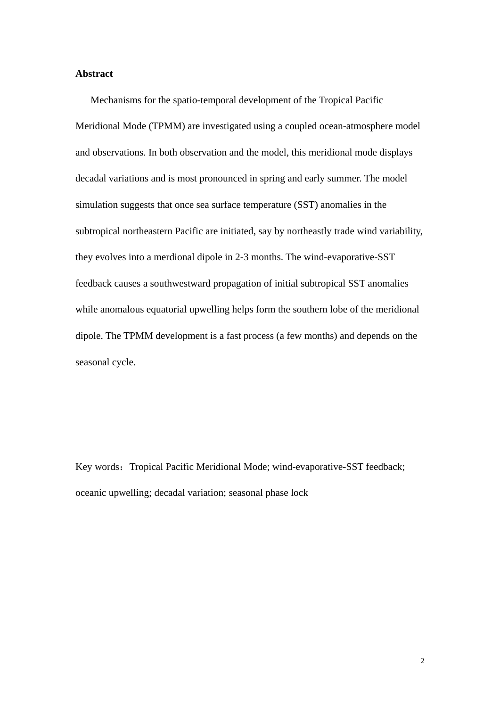# **Abstract**

Mechanisms for the spatio-temporal development of the Tropical Pacific Meridional Mode (TPMM) are investigated using a coupled ocean-atmosphere model and observations. In both observation and the model, this meridional mode displays decadal variations and is most pronounced in spring and early summer. The model simulation suggests that once sea surface temperature (SST) anomalies in the subtropical northeastern Pacific are initiated, say by northeastly trade wind variability, they evolves into a merdional dipole in 2-3 months. The wind-evaporative-SST feedback causes a southwestward propagation of initial subtropical SST anomalies while anomalous equatorial upwelling helps form the southern lobe of the meridional dipole. The TPMM development is a fast process (a few months) and depends on the seasonal cycle.

Key words: Tropical Pacific Meridional Mode; wind-evaporative-SST feedback; oceanic upwelling; decadal variation; seasonal phase lock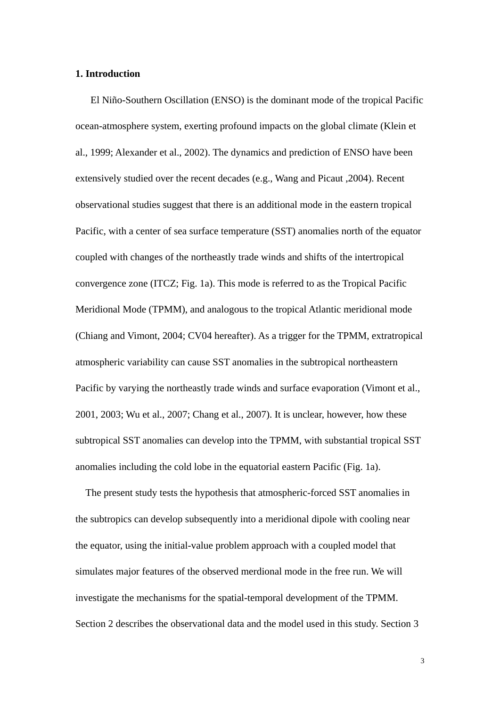# **1. Introduction**

El Niño-Southern Oscillation (ENSO) is the dominant mode of the tropical Pacific ocean-atmosphere system, exerting profound impacts on the global climate (Klein et al., 1999; Alexander et al., 2002). The dynamics and prediction of ENSO have been extensively studied over the recent decades (e.g., Wang and Picaut ,2004). Recent observational studies suggest that there is an additional mode in the eastern tropical Pacific, with a center of sea surface temperature (SST) anomalies north of the equator coupled with changes of the northeastly trade winds and shifts of the intertropical convergence zone (ITCZ; Fig. 1a). This mode is referred to as the Tropical Pacific Meridional Mode (TPMM), and analogous to the tropical Atlantic meridional mode (Chiang and Vimont, 2004; CV04 hereafter). As a trigger for the TPMM, extratropical atmospheric variability can cause SST anomalies in the subtropical northeastern Pacific by varying the northeastly trade winds and surface evaporation (Vimont et al., 2001, 2003; Wu et al., 2007; Chang et al., 2007). It is unclear, however, how these subtropical SST anomalies can develop into the TPMM, with substantial tropical SST anomalies including the cold lobe in the equatorial eastern Pacific (Fig. 1a).

 The present study tests the hypothesis that atmospheric-forced SST anomalies in the subtropics can develop subsequently into a meridional dipole with cooling near the equator, using the initial-value problem approach with a coupled model that simulates major features of the observed merdional mode in the free run. We will investigate the mechanisms for the spatial-temporal development of the TPMM. Section 2 describes the observational data and the model used in this study. Section 3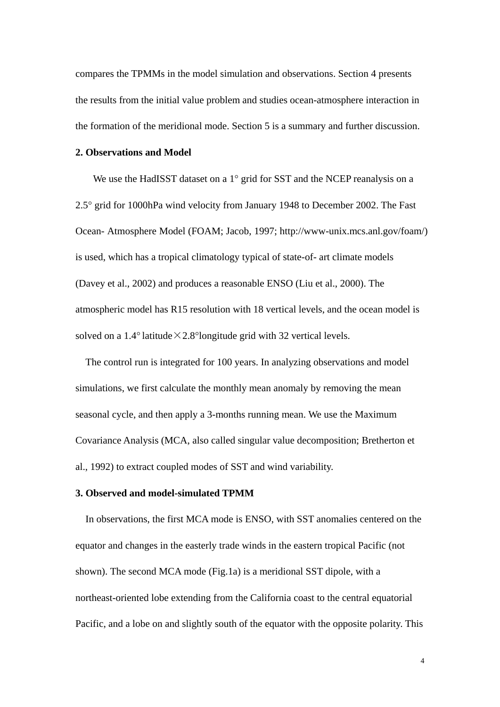compares the TPMMs in the model simulation and observations. Section 4 presents the results from the initial value problem and studies ocean-atmosphere interaction in the formation of the meridional mode. Section 5 is a summary and further discussion.

# **2. Observations and Model**

We use the HadISST dataset on a 1° grid for SST and the NCEP reanalysis on a 2.5° grid for 1000hPa wind velocity from January 1948 to December 2002. The Fast Ocean- Atmosphere Model (FOAM; Jacob, 1997; http://www-unix.mcs.anl.gov/foam/) is used, which has a tropical climatology typical of state-of- art climate models (Davey et al., 2002) and produces a reasonable ENSO (Liu et al., 2000). The atmospheric model has R15 resolution with 18 vertical levels, and the ocean model is solved on a 1.4° latitude  $\times$  2.8° longitude grid with 32 vertical levels.

The control run is integrated for 100 years. In analyzing observations and model simulations, we first calculate the monthly mean anomaly by removing the mean seasonal cycle, and then apply a 3-months running mean. We use the Maximum Covariance Analysis (MCA, also called singular value decomposition; Bretherton et al., 1992) to extract coupled modes of SST and wind variability.

# **3. Observed and model-simulated TPMM**

In observations, the first MCA mode is ENSO, with SST anomalies centered on the equator and changes in the easterly trade winds in the eastern tropical Pacific (not shown). The second MCA mode (Fig.1a) is a meridional SST dipole, with a northeast-oriented lobe extending from the California coast to the central equatorial Pacific, and a lobe on and slightly south of the equator with the opposite polarity. This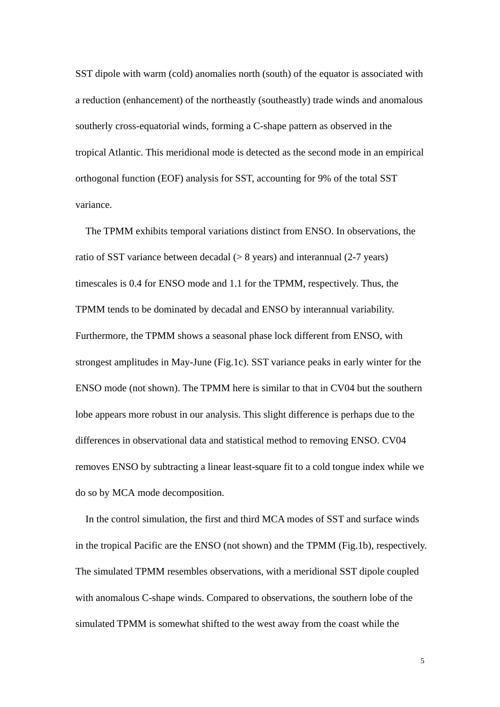SST dipole with warm (cold) anomalies north (south) of the equator is associated with a reduction (enhancement) of the northeastly (southeastly) trade winds and anomalous southerly cross-equatorial winds, forming a C-shape pattern as observed in the tropical Atlantic. This meridional mode is detected as the second mode in an empirical orthogonal function (EOF) analysis for SST, accounting for 9% of the total SST variance.

 The TPMM exhibits temporal variations distinct from ENSO. In observations, the ratio of SST variance between decadal (> 8 years) and interannual (2-7 years) timescales is 0.4 for ENSO mode and 1.1 for the TPMM, respectively. Thus, the TPMM tends to be dominated by decadal and ENSO by interannual variability. Furthermore, the TPMM shows a seasonal phase lock different from ENSO, with strongest amplitudes in May-June (Fig.1c). SST variance peaks in early winter for the ENSO mode (not shown). The TPMM here is similar to that in CV04 but the southern lobe appears more robust in our analysis. This slight difference is perhaps due to the differences in observational data and statistical method to removing ENSO. CV04 removes ENSO by subtracting a linear least-square fit to a cold tongue index while we do so by MCA mode decomposition.

In the control simulation, the first and third MCA modes of SST and surface winds in the tropical Pacific are the ENSO (not shown) and the TPMM (Fig.1b), respectively. The simulated TPMM resembles observations, with a meridional SST dipole coupled with anomalous C-shape winds. Compared to observations, the southern lobe of the simulated TPMM is somewhat shifted to the west away from the coast while the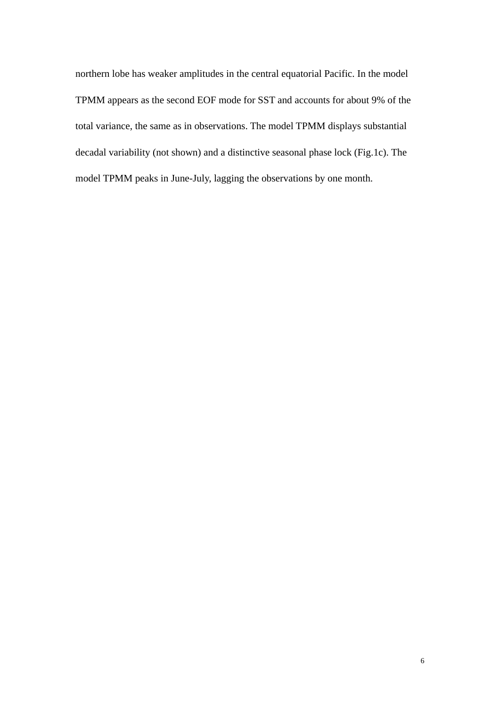northern lobe has weaker amplitudes in the central equatorial Pacific. In the model TPMM appears as the second EOF mode for SST and accounts for about 9% of the total variance, the same as in observations. The model TPMM displays substantial decadal variability (not shown) and a distinctive seasonal phase lock (Fig.1c). The model TPMM peaks in June-July, lagging the observations by one month.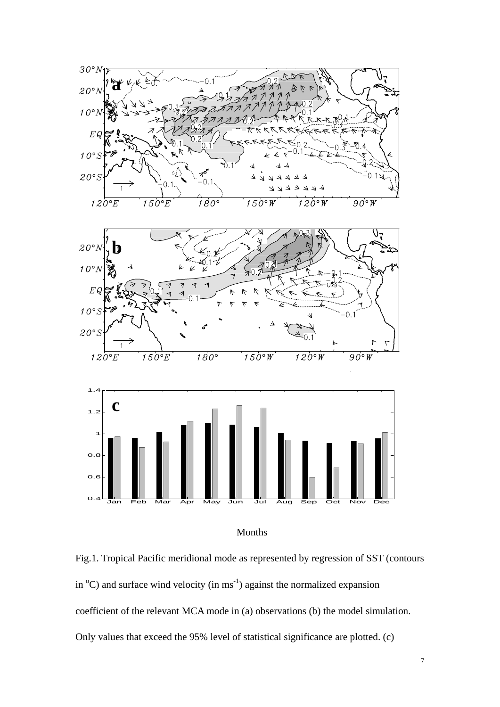



Fig.1. Tropical Pacific meridional mode as represented by regression of SST (contours in  ${}^{\circ}$ C) and surface wind velocity (in ms<sup>-1</sup>) against the normalized expansion coefficient of the relevant MCA mode in (a) observations (b) the model simulation. Only values that exceed the 95% level of statistical significance are plotted. (c)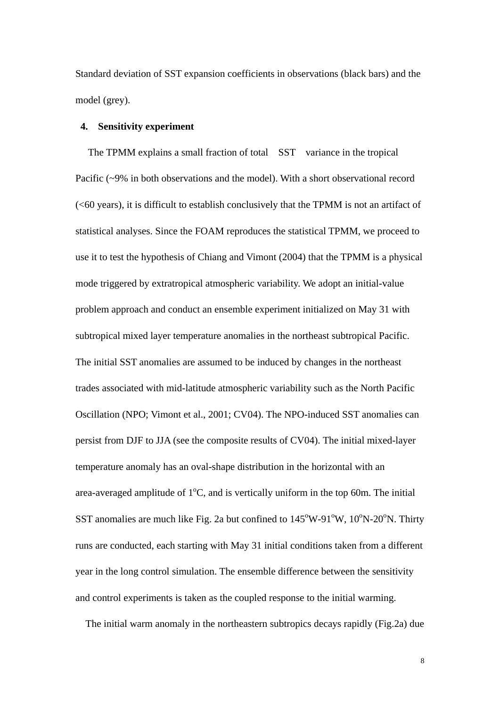Standard deviation of SST expansion coefficients in observations (black bars) and the model (grey).

# **4. Sensitivity experiment**

 The TPMM explains a small fraction of total SST variance in the tropical Pacific (~9% in both observations and the model). With a short observational record (<60 years), it is difficult to establish conclusively that the TPMM is not an artifact of statistical analyses. Since the FOAM reproduces the statistical TPMM, we proceed to use it to test the hypothesis of Chiang and Vimont (2004) that the TPMM is a physical mode triggered by extratropical atmospheric variability. We adopt an initial-value problem approach and conduct an ensemble experiment initialized on May 31 with subtropical mixed layer temperature anomalies in the northeast subtropical Pacific. The initial SST anomalies are assumed to be induced by changes in the northeast trades associated with mid-latitude atmospheric variability such as the North Pacific Oscillation (NPO; Vimont et al., 2001; CV04). The NPO-induced SST anomalies can persist from DJF to JJA (see the composite results of CV04). The initial mixed-layer temperature anomaly has an oval-shape distribution in the horizontal with an area-averaged amplitude of  $1^{\circ}$ C, and is vertically uniform in the top 60m. The initial SST anomalies are much like Fig. 2a but confined to  $145^{\circ}$ W-91 $^{\circ}$ W, 10 $^{\circ}$ N-20 $^{\circ}$ N. Thirty runs are conducted, each starting with May 31 initial conditions taken from a different year in the long control simulation. The ensemble difference between the sensitivity and control experiments is taken as the coupled response to the initial warming.

The initial warm anomaly in the northeastern subtropics decays rapidly (Fig.2a) due

8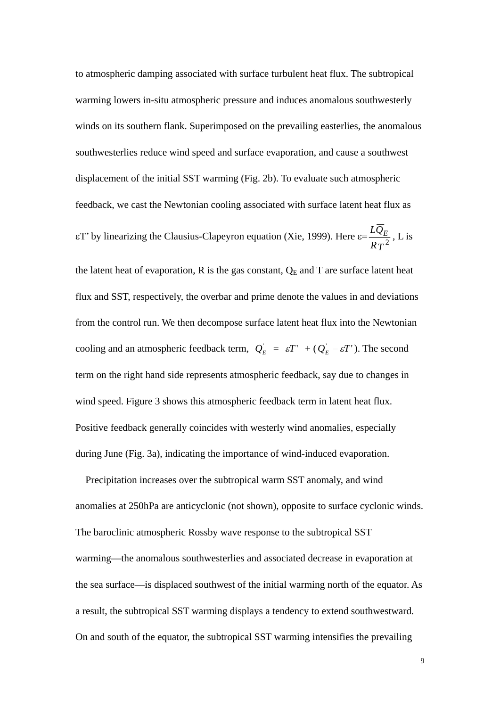to atmospheric damping associated with surface turbulent heat flux. The subtropical warming lowers in-situ atmospheric pressure and induces anomalous southwesterly winds on its southern flank. Superimposed on the prevailing easterlies, the anomalous southwesterlies reduce wind speed and surface evaporation, and cause a southwest displacement of the initial SST warming (Fig. 2b). To evaluate such atmospheric feedback, we cast the Newtonian cooling associated with surface latent heat flux as

εT' by linearizing the Clausius-Clapeyron equation (Xie, 1999). Here ε= *RT*  $\frac{LQ_E}{R\overline{T^2}}$ , L is

the latent heat of evaporation, R is the gas constant,  $Q_E$  and T are surface latent heat flux and SST, respectively, the overbar and prime denote the values in and deviations from the control run. We then decompose surface latent heat flux into the Newtonian cooling and an atmospheric feedback term,  $Q_E = \varepsilon T' + (Q_E - \varepsilon T')$ . The second term on the right hand side represents atmospheric feedback, say due to changes in wind speed. Figure 3 shows this atmospheric feedback term in latent heat flux. Positive feedback generally coincides with westerly wind anomalies, especially during June (Fig. 3a), indicating the importance of wind-induced evaporation.

Precipitation increases over the subtropical warm SST anomaly, and wind anomalies at 250hPa are anticyclonic (not shown), opposite to surface cyclonic winds. The baroclinic atmospheric Rossby wave response to the subtropical SST warming—the anomalous southwesterlies and associated decrease in evaporation at the sea surface—is displaced southwest of the initial warming north of the equator. As a result, the subtropical SST warming displays a tendency to extend southwestward. On and south of the equator, the subtropical SST warming intensifies the prevailing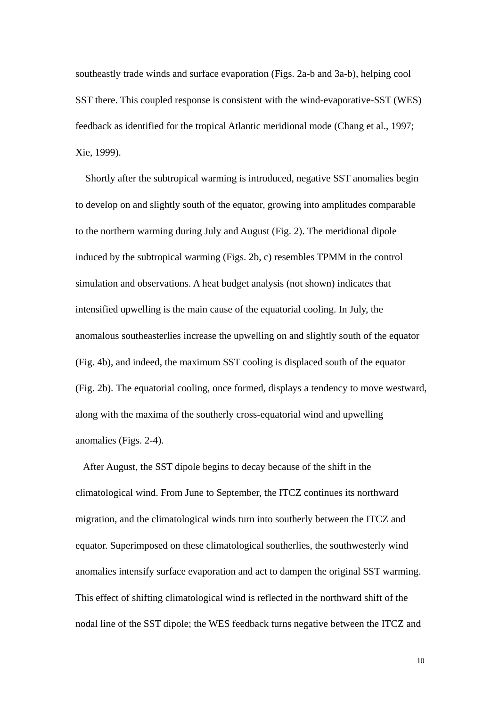southeastly trade winds and surface evaporation (Figs. 2a-b and 3a-b), helping cool SST there. This coupled response is consistent with the wind-evaporative-SST (WES) feedback as identified for the tropical Atlantic meridional mode (Chang et al., 1997; Xie, 1999).

 Shortly after the subtropical warming is introduced, negative SST anomalies begin to develop on and slightly south of the equator, growing into amplitudes comparable to the northern warming during July and August (Fig. 2). The meridional dipole induced by the subtropical warming (Figs. 2b, c) resembles TPMM in the control simulation and observations. A heat budget analysis (not shown) indicates that intensified upwelling is the main cause of the equatorial cooling. In July, the anomalous southeasterlies increase the upwelling on and slightly south of the equator (Fig. 4b), and indeed, the maximum SST cooling is displaced south of the equator (Fig. 2b). The equatorial cooling, once formed, displays a tendency to move westward, along with the maxima of the southerly cross-equatorial wind and upwelling anomalies (Figs. 2-4).

 After August, the SST dipole begins to decay because of the shift in the climatological wind. From June to September, the ITCZ continues its northward migration, and the climatological winds turn into southerly between the ITCZ and equator. Superimposed on these climatological southerlies, the southwesterly wind anomalies intensify surface evaporation and act to dampen the original SST warming. This effect of shifting climatological wind is reflected in the northward shift of the nodal line of the SST dipole; the WES feedback turns negative between the ITCZ and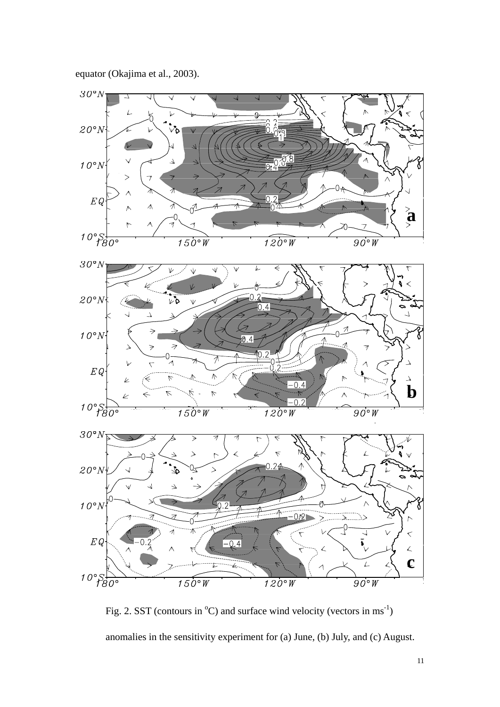

Fig. 2. SST (contours in  $^{\circ}$ C) and surface wind velocity (vectors in ms<sup>-1</sup>) anomalies in the sensitivity experiment for (a) June, (b) July, and (c) August.

equator (Okajima et al., 2003).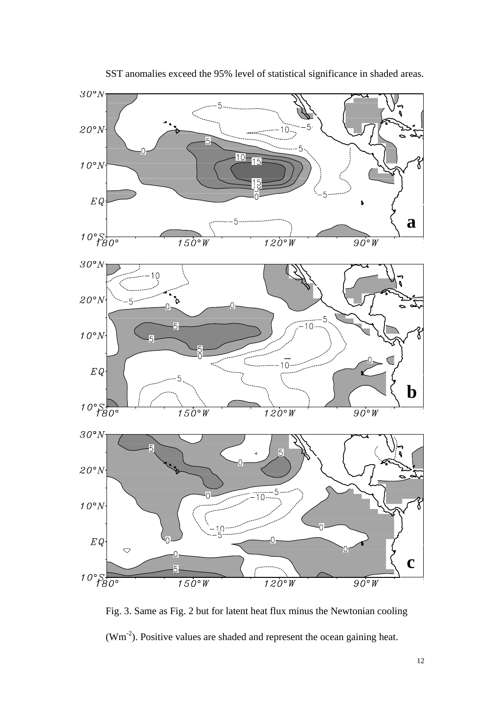

SST anomalies exceed the 95% level of statistical significance in shaded areas.

Fig. 3. Same as Fig. 2 but for latent heat flux minus the Newtonian cooling (Wm-2). Positive values are shaded and represent the ocean gaining heat.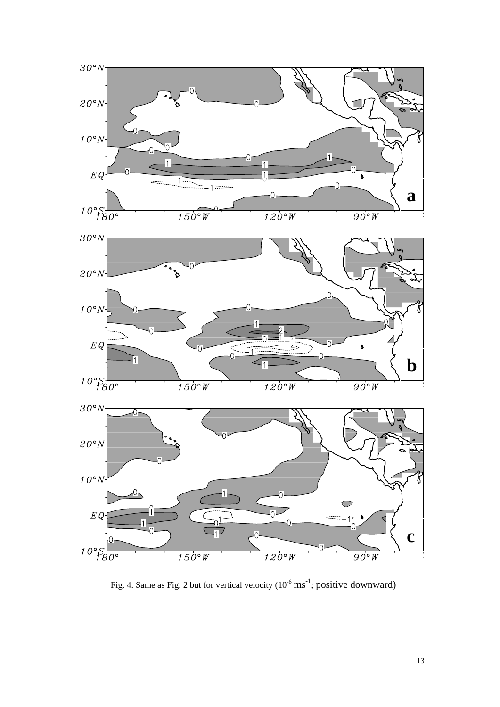

Fig. 4. Same as Fig. 2 but for vertical velocity  $(10^{-6} \text{ ms}^{-1})$ ; positive downward)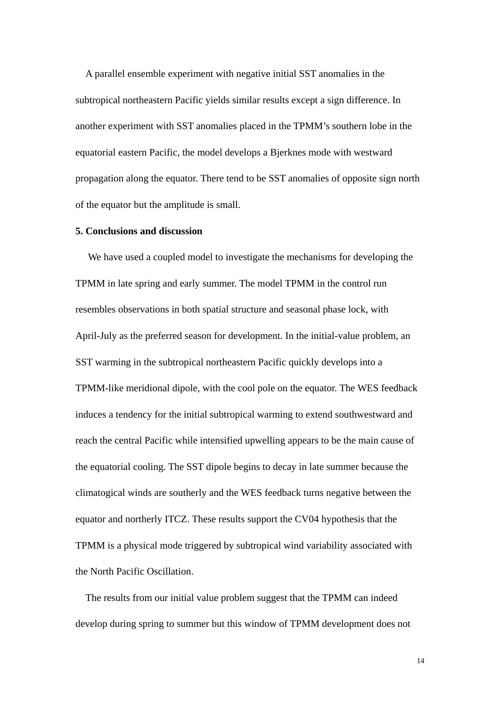A parallel ensemble experiment with negative initial SST anomalies in the subtropical northeastern Pacific yields similar results except a sign difference. In another experiment with SST anomalies placed in the TPMM's southern lobe in the equatorial eastern Pacific, the model develops a Bjerknes mode with westward propagation along the equator. There tend to be SST anomalies of opposite sign north of the equator but the amplitude is small.

#### **5. Conclusions and discussion**

 We have used a coupled model to investigate the mechanisms for developing the TPMM in late spring and early summer. The model TPMM in the control run resembles observations in both spatial structure and seasonal phase lock, with April-July as the preferred season for development. In the initial-value problem, an SST warming in the subtropical northeastern Pacific quickly develops into a TPMM-like meridional dipole, with the cool pole on the equator. The WES feedback induces a tendency for the initial subtropical warming to extend southwestward and reach the central Pacific while intensified upwelling appears to be the main cause of the equatorial cooling. The SST dipole begins to decay in late summer because the climatogical winds are southerly and the WES feedback turns negative between the equator and northerly ITCZ. These results support the CV04 hypothesis that the TPMM is a physical mode triggered by subtropical wind variability associated with the North Pacific Oscillation.

The results from our initial value problem suggest that the TPMM can indeed develop during spring to summer but this window of TPMM development does not

14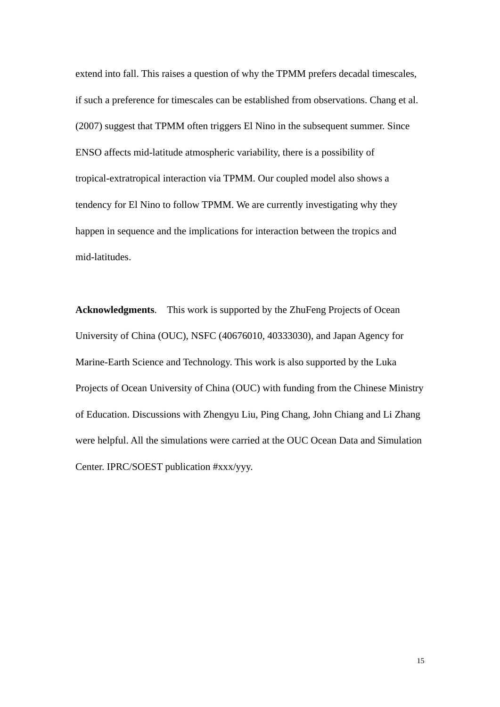extend into fall. This raises a question of why the TPMM prefers decadal timescales, if such a preference for timescales can be established from observations. Chang et al. (2007) suggest that TPMM often triggers El Nino in the subsequent summer. Since ENSO affects mid-latitude atmospheric variability, there is a possibility of tropical-extratropical interaction via TPMM. Our coupled model also shows a tendency for El Nino to follow TPMM. We are currently investigating why they happen in sequence and the implications for interaction between the tropics and mid-latitudes.

**Acknowledgments**. This work is supported by the ZhuFeng Projects of Ocean University of China (OUC), NSFC (40676010, 40333030), and Japan Agency for Marine-Earth Science and Technology. This work is also supported by the Luka Projects of Ocean University of China (OUC) with funding from the Chinese Ministry of Education. Discussions with Zhengyu Liu, Ping Chang, John Chiang and Li Zhang were helpful. All the simulations were carried at the OUC Ocean Data and Simulation Center. IPRC/SOEST publication #xxx/yyy.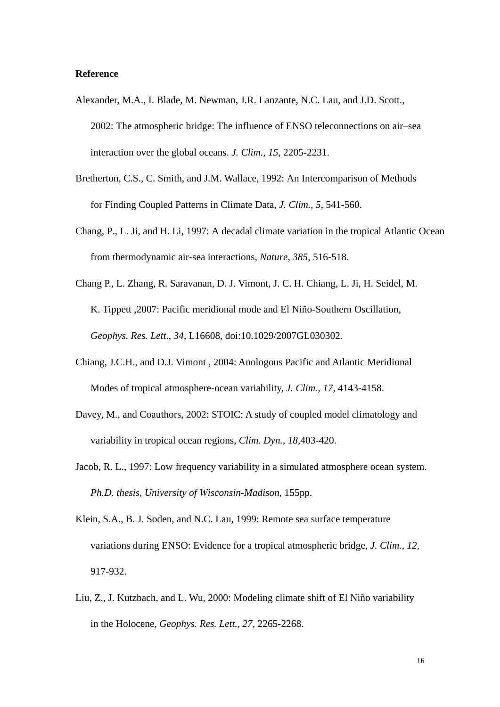# **Reference**

- Alexander, M.A., I. Blade, M. Newman, J.R. Lanzante, N.C. Lau, and J.D. Scott., 2002: The atmospheric bridge: The influence of ENSO teleconnections on air–sea interaction over the global oceans. *J. Clim., 15*, 2205-2231.
- Bretherton, C.S., C. Smith, and J.M. Wallace, 1992: An Intercomparison of Methods for Finding Coupled Patterns in Climate Data, *J. Clim., 5,* 541-560.
- Chang, P., L. Ji, and H. Li, 1997: A decadal climate variation in the tropical Atlantic Ocean from thermodynamic air-sea interactions, *Nature, 385,* 516-518.
- Chang P., L. Zhang, R. Saravanan, D. J. Vimont, J. C. H. Chiang, L. Ji, H. Seidel, M. K. Tippett ,2007: Pacific meridional mode and El Niño-Southern Oscillation, *Geophys. Res. Lett*., *34*, L16608, doi:10.1029/2007GL030302.
- Chiang, J.C.H., and D.J. Vimont , 2004: Anologous Pacific and Atlantic Meridional Modes of tropical atmosphere-ocean variability, *J. Clim., 17,* 4143-4158.
- Davey, M., and Coauthors, 2002: STOIC: A study of coupled model climatology and variability in tropical ocean regions, *Clim. Dyn., 18*,403-420.
- Jacob, R. L., 1997: Low frequency variability in a simulated atmosphere ocean system. *Ph.D. thesis, University of Wisconsin-Madison,* 155pp.
- Klein, S.A., B. J. Soden, and N.C. Lau, 1999: Remote sea surface temperature variations during ENSO: Evidence for a tropical atmospheric bridge, *J. Clim., 12,*  917-932.
- Liu, Z., J. Kutzbach, and L. Wu, 2000: Modeling climate shift of El Niño variability in the Holocene, *Geophys. Res. Lett., 27,* 2265-2268.